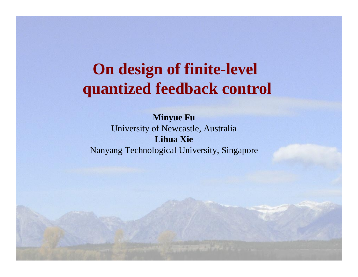# **On design of finite-level quantized feedback control**

**Minyue Fu** University of Newcastle, Australia **Lihua Xie**Nanyang Technological University, Singapore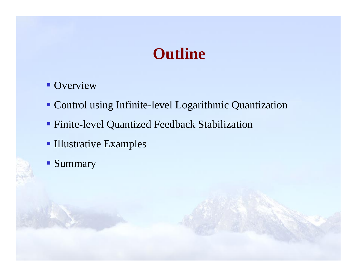# **Outline**

- **Overview**
- **Control using Infinite-level Logarithmic Quantization**
- Finite-level Quantized Feedback Stabilization
- **Illustrative Examples**
- **Summary**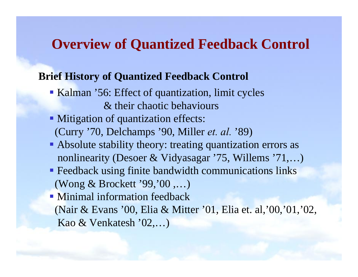# **Overview of Quantized Feedback Control**

#### **Brief History of Quantized Feedback Control**

- Kalman '56: Effect of quantization, limit cycles & their chaotic behaviours
- **Mitigation of quantization effects:** (Curry '70, Delchamps '90, Miller *et. al.* '89)
- Absolute stability theory: treating quantization errors as nonlinearity (Desoer & Vidyasagar '75, Willems '71,…)
- **Feedback using finite bandwidth communications links** (Wong & Brockett '99,'00 ,…)
- Minimal information feedback(Nair & Evans '00, Elia & Mitter '01, Elia et. al,'00,'01,'02, Kao & Venkatesh '02,…)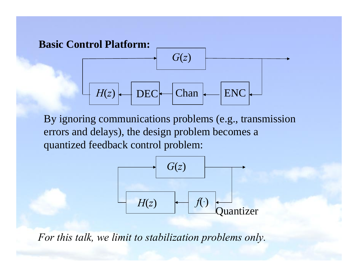

By ignoring communications problems (e.g., transmission errors and delays), the design problem becomes a quantized feedback control problem:



*For this talk, we limit to stabilization problems only.*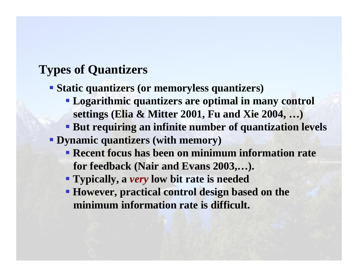## **Types of Quantizers**

**Static quantizers (or memoryless quantizers)**

- **Logarithmic quantizers are optimal in many control settings (Elia & Mitter 2001, Fu and Xie 2004, …)**
- **But requiring an infinite number of quantization levels**

**Dynamic quantizers (with memory)**

- **Recent focus has been on minimum information rate for feedback (Nair and Evans 2003,…).**
- **Typically, a** *very* **low bit rate is needed**
- **However, practical control design based on the minimum information rate is difficult.**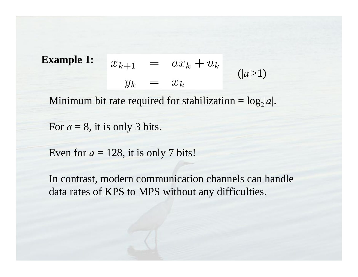**Example 1:**  $x_{k+1} = ax_k + u_k$ <br>  $y_k = x_k$  $(|a|>1)$ 

Minimum bit rate required for stabilization =  $log_2|a|$ .

For  $a = 8$ , it is only 3 bits.

Even for  $a = 128$ , it is only 7 bits!

In contrast, modern communication channels can handle data rates of KPS to MPS without any difficulties.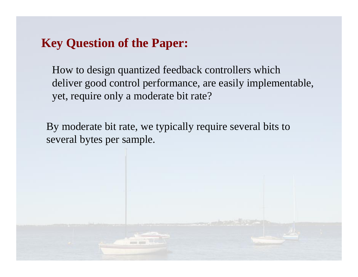### **Key Question of the Paper:**

How to design quantized feedback controllers which deliver good control performance, are easily implementable, yet, require only a moderate bit rate?

By moderate bit rate, we typically require several bits to several bytes per sample.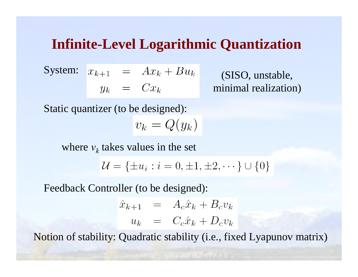# **Infinite-Level Logarithmic Quantization**

$$
\begin{array}{rcl}\n\text{System:} & x_{k+1} & = & Ax_k + Bu_k \\
y_k & = & Cx_k\n\end{array}
$$

(SISO, unstable, minimal realization)

Static quantizer (to be designed):  $v_k = Q(y_k)$ 

where  $v_k$  takes values in the set

$$
\mathcal{U} = \{ \pm u_i : i = 0, \pm 1, \pm 2, \cdots \} \cup \{ 0 \}
$$

Feedback Controller (to be designed):

$$
\begin{array}{rcl}\n\hat{x}_{k+1} & = & A_c \hat{x}_k + B_c v_k \\
u_k & = & C_c \hat{x}_k + D_c v_k\n\end{array}
$$

Notion of stability: Quadratic stability (i.e., fixed Lyapunov matrix)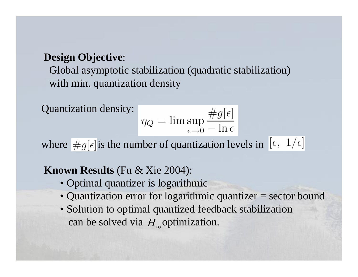#### **Design Objective**:

Global asymptotic stabilization (quadratic stabilization) with min. quantization density

Quantization density:

$$
\eta_Q = \limsup_{\epsilon \to 0} \frac{\#g[\epsilon]}{-\ln \epsilon}
$$

where  $\overline{\#g[\epsilon]}$  is the number of quantization levels in  $[\epsilon, 1/\epsilon]$ 

#### **Known Results** (Fu & Xie 2004):

- Optimal quantizer is logarithmic
- Quantization error for logarithmic quantizer = sector bound
- Solution to optimal quantized feedback stabilization can be solved via  $H_{\infty}$  optimization.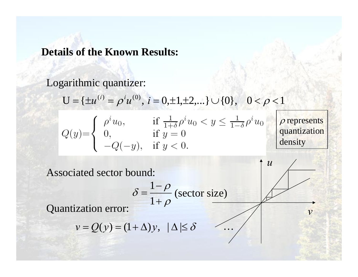#### **Details of the Known Results:**

#### Logarithmic quantizer:

$$
U = \{ \pm u^{(i)} = \rho^i u^{(0)}, \ i = 0, \pm 1, \pm 2, \dots \} \cup \{0\}, \quad 0 < \rho < 1
$$

|                    | $\rho^{\iota}u_0$ .     | if $\frac{1}{1+\delta}\rho^i u_0 < y \leq \frac{1}{1-\delta}\rho^i u_0$ | $\rho$ represents |
|--------------------|-------------------------|-------------------------------------------------------------------------|-------------------|
| $Q(y)=\big\langle$ |                         | if $y=0$                                                                | quantization      |
|                    | $-Q(-y)$ , if $y < 0$ . |                                                                         | density           |

Associated sector bound:

$$
\delta = \frac{1-\rho}{1+\rho}
$$
 (sector size)

…

*v*

 $\mathcal U$ 

Quantization error:

$$
v = Q(y) = (1 + \Delta)y, \ \ |\Delta| \le \delta
$$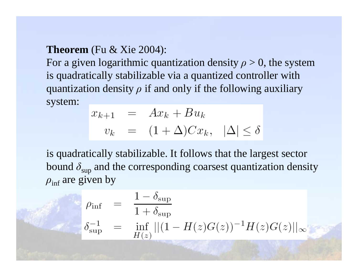#### **Theorem** (Fu & Xie 2004):

For a given logarithmic quantization density  $\rho > 0$ , the system is quadratically stabilizable via a quantized controller with quantization density  $\rho$  if and only if the following auxiliary system:

$$
x_{k+1} = Ax_k + Bu_k
$$
  

$$
v_k = (1 + \Delta)Cx_k, \quad |\Delta| \le \delta
$$

is quadratically stabilizable. It follows that the largest sector bound  $\delta$ <sub>sup</sub> and the corresponding coarsest quantization density  $\rho_{\inf}$  are given by

$$
\rho_{\inf} = \frac{1 - \delta_{\sup}}{1 + \delta_{\sup}}
$$
  
\n
$$
\delta_{\sup}^{-1} = \inf_{H(z)} ||(1 - H(z)G(z))^{-1}H(z)G(z)||_{\infty}
$$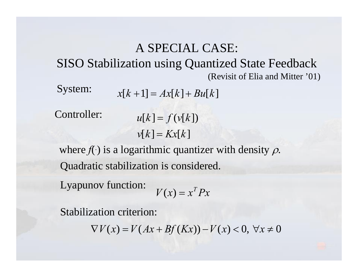## A SPECIAL CASE: SISO Stabilization using Quantized State Feedback (Revisit of Elia and Mitter '01)

System:  $x[k+1] = Ax[k] + Bu[k]$ 

Controller:

$$
u[k] = f(v[k])
$$

$$
v[k] = Kx[k]
$$

where  $f(\cdot)$  is a logarithmic quantizer with density  $\rho$ . Quadratic stabilization is considered.

Lyapunov function:

$$
V(x) = x^T P x
$$

Stabilization criterion:

 $\nabla$ *V*(*x*) = *V*(*Ax* + *Bf*(*Kx*)) − *V*(*x*) < 0, ∀*x* ≠ 0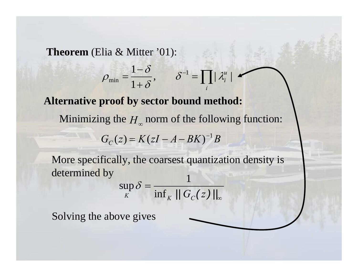**Theorem** (Elia & Mitter '01):

$$
\rho_{\min} = \frac{1-\delta}{1+\delta}, \qquad \delta^{-1} = \prod_i |\lambda_i^u|
$$

**Alternative proof by sector bound method:**

Minimizing the  $H_{\infty}$  norm of the following function:

$$
G_C(z) = K(zI - A - BK)^{-1}B
$$

More specifically, the coarsest quantization density is determined by 1

$$
\sup_K \delta = \frac{1}{\inf_K \|G_C(z)\|_{\infty}}
$$

Solving the above gives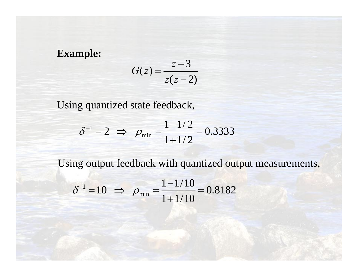**Example:**

$$
G(z) = \frac{z-3}{z(z-2)}
$$

Using quantized state feedback,

$$
\delta^{-1} = 2 \implies \rho_{\min} = \frac{1 - 1/2}{1 + 1/2} = 0.3333
$$

Using output feedback with quantized output measurements,

$$
\delta^{-1} = 10 \implies \rho_{\min} = \frac{1 - 1/10}{1 + 1/10} = 0.8182
$$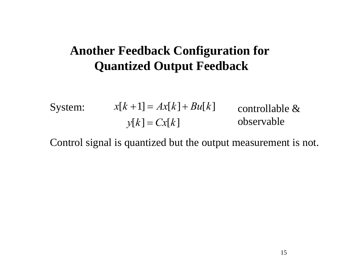## **Another Feedback Configuration for Quantized Output Feedback**

System:

\n
$$
x[k+1] = Ax[k] + Bu[k] \qquad \text{controlled} \& y[k] = Cx[k] \qquad \text{observable}
$$

Control signal is quantized but the output measurement is not.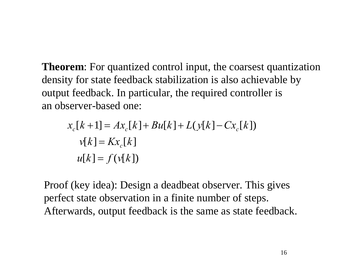**Theorem**: For quantized control input, the coarsest quantization density for state feedback stabilization is also achievable by output feedback. In particular, the required controller is an observer-based one:

$$
x_c[k+1] = Ax_c[k] + Bu[k] + L(y[k] - Cx_c[k])
$$
  

$$
v[k] = Kx_c[k]
$$
  

$$
u[k] = f(v[k])
$$

Proof (key idea): Design a deadbeat observer. This gives perfect state observation in a finite number of steps. Afterwards, output feedback is the same as state feedback.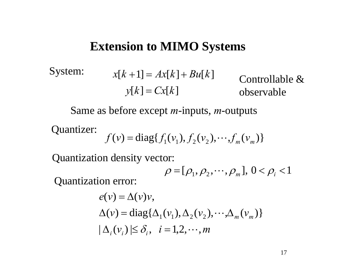### **Extension to MIMO Systems**

$$
System: \t x[k+1] = Ax[k] + Bu[k] \t count{controllable & \t x[k] = Cx[k] \t observeable}
$$

Same as before except *<sup>m</sup>*-inputs, *<sup>m</sup>*-outputs

Quantizer:

$$
f(v) = diag{f_1(v_1), f_2(v_2), \cdots, f_m(v_m)}
$$

Quantization density vector:

$$
\rho = [\rho_1, \rho_2, \cdots, \rho_m], 0 < \rho_i < 1
$$

Quantization error:

$$
e(v) = \Delta(v)v,
$$
  
\n
$$
\Delta(v) = \text{diag}\{\Delta_1(v_1), \Delta_2(v_2), \cdots, \Delta_m(v_m)\}
$$
  
\n
$$
|\Delta_i(v_i)| \le \delta_i, \quad i = 1, 2, \cdots, m
$$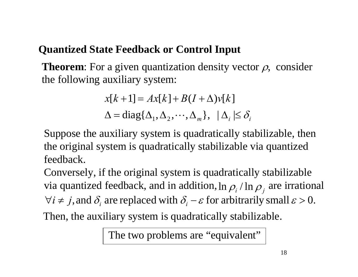### **Quantized State Feedback or Control Input**

**Theorem**: For a given quantization density vector  $\rho$ , consider the following auxiliary system:

$$
x[k+1] = Ax[k] + B(I + \Delta)v[k]
$$
  

$$
\Delta = diag{\Delta_1, \Delta_2, \cdots, \Delta_m}, \quad |\Delta_i| \le \delta_i
$$

Suppose the auxiliary system is quadratically stabilizable, then the original system is quadratically stabilizable via quantized feedback.

Conversely, if the original system is quadratically stabilizable via quantized feedback, and in addition, ln  $\rho_{_i}$  / ln  $\rho_{_j}$  are irrational  $\forall i \neq j$ , and  $\delta_i$  are replaced with  $\delta_i - \varepsilon$  for arbitrarily small  $\varepsilon > 0$ .

Then, the auxiliary system is quadratically stabilizable.

The two problems are "equivalent"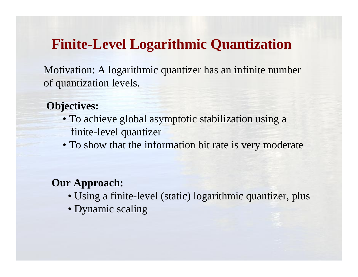# **Finite-Level Logarithmic Quantization**

Motivation: A logarithmic quantizer has an infinite number of quantization levels.

**Objectives:**

- To achieve global asymptotic stabilization using a finite-level quantizer
- To show that the information bit rate is very moderate

#### **Our Approach:**

- Using a finite-level (static) logarithmic quantizer, plus
- Dynamic scaling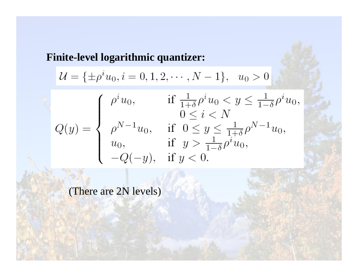**Finite-level logarithmic quantizer:**

$$
\mathcal{U} = \{\pm \rho^i u_0, i = 0, 1, 2, \cdots, N - 1\}, \quad u_0 > 0
$$
  

$$
Q(y) = \begin{cases} \rho^i u_0, & \text{if } \frac{1}{1+\delta} \rho^i u_0 < y \le \frac{1}{1-\delta} \rho^i u_0, \\ \rho^{N-1} u_0, & \text{if } 0 \le y \le \frac{1}{1+\delta} \rho^{N-1} u_0, \\ u_0, & \text{if } y > \frac{1}{1-\delta} \rho^i u_0, \\ -Q(-y), & \text{if } y < 0. \end{cases}
$$

(There are 2N levels)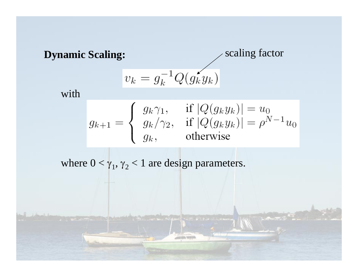**Dynamic Scaling:**

scaling factor

$$
v_k = g_k^{-1} Q(g_k y_k)
$$

with

$$
g_{k+1} = \begin{cases} g_k \gamma_1, & \text{if } |Q(g_k y_k)| = u_0 \\ g_k / \gamma_2, & \text{if } |Q(g_k y_k)| = \rho^{N-1} u_0 \\ g_k, & \text{otherwise} \end{cases}
$$

where  $0 < \gamma_1, \gamma_2 < 1$  are design parameters.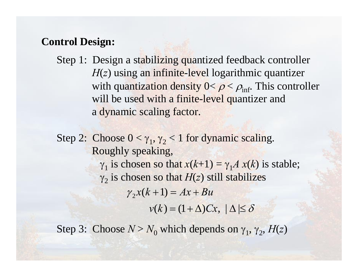#### **Control Design:**

Step 1: Design a stabilizing quantized feedback controller *H*(*z*) using an infinite-level logarithmic quantizer with quantization density  $0 < \rho < \rho_{\inf}$ . This controller will be used with a finite-level quantizer and a dynamic scaling factor.

Step 2: Choose  $0 < \gamma_1, \gamma_2 < 1$  for dynamic scaling. Roughly speaking,  $\gamma_1$  is chosen so that  $x(k+1) = \gamma_1 A x(k)$  is stable;  $\gamma_2$  is chosen so that  $H(z)$  still stabilizes  $v(k) = (1 + \Delta)Cx, \, |\Delta| \leq \delta$  $\gamma_2 x(k+1) = Ax + Bu$ 

Step 3: Choose  $N > N_0$  which depends on  $\gamma_1$ ,  $\gamma_2$ ,  $H(z)$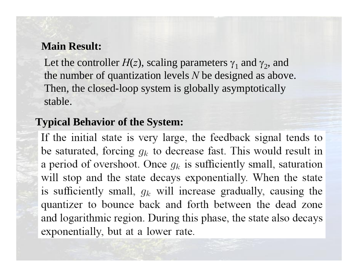#### **Main Result:**

Let the controller  $H(z)$ , scaling parameters  $\gamma_1$  and  $\gamma_2$ , and the number of quantization levels *N* be designed as above. Then, the closed-loop system is globally asymptotically stable.

#### **Typical Behavior of the System:**

If the initial state is very large, the feedback signal tends to be saturated, forcing  $g_k$  to decrease fast. This would result in a period of overshoot. Once  $g_k$  is sufficiently small, saturation will stop and the state decays exponentially. When the state is sufficiently small,  $g_k$  will increase gradually, causing the quantizer to bounce back and forth between the dead zone and logarithmic region. During this phase, the state also decays exponentially, but at a lower rate.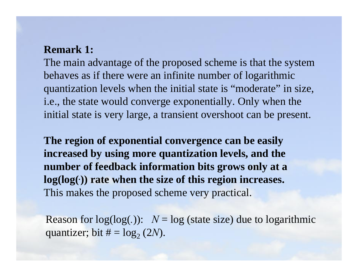#### **Remark 1:**

The main advantage of the proposed scheme is that the system behaves as if there were an infinite number of logarithmic quantization levels when the initial state is "moderate" in size, i.e., the state would converge exponentially. Only when the initial state is very large, a transient overshoot can be present.

**The region of exponential convergence can be easily increased by using more quantization levels, and the number of feedback information bits grows only at a log(log(***.***)) rate when the size of this region increases.** This makes the proposed scheme very practical.

Reason for  $log(log(.))$ :  $N = log (state size)$  due to logarithmic quantizer; bit  $\# = \log_2{(2N)}$ .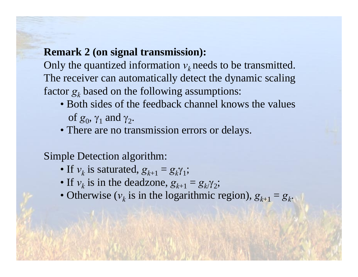#### **Remark 2 (on signal transmission):**

Only the quantized information  $v_k$  needs to be transmitted. The receiver can automatically detect the dynamic scaling factor  $g_k^{}$  based on the following assumptions:

- Both sides of the feedback channel knows the valuesof  $g_0$ ,  $γ_1$  and  $γ_2$ .
- There are no transmission errors or delays.

#### Simple Detection algorithm:

- If  $v_k$  is saturated,  $g_{k+1} = g_k \gamma_1$ ;
- If  $v_k$  is in the deadzone,  $g_{k+1} = g_k \gamma_2$ ;
- Otherwise ( $v_k$  is in the logarithmic region),  $g_{k+1} = g_k$ .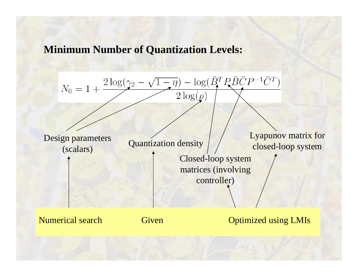#### **Minimum Number of Quantization Levels:**

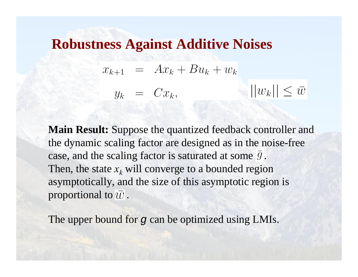### **Robustness Against Additive Noises**

$$
x_{k+1} = Ax_k + Bu_k + w_k
$$
  

$$
y_k = Cx_k, \qquad ||w_k|| \le \overline{w}
$$

**Main Result:** Suppose the quantized feedback controller and the dynamic scaling factor are designed as in the noise-free case, and the scaling factor is saturated at some  $\bar{g}$ . Then, the state  $x_k$  will converge to a bounded region asymptotically, and the size of this asymptotic region is proportional to  $\bar{w}$ .

The upper bound for *g* can be optimized using LMIs.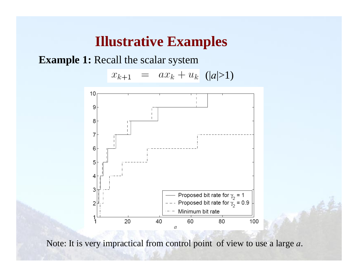# **Illustrative Examples**

**Example 1:** Recall the scalar system





Note: It is very impractical from control point of view to use a large *a*.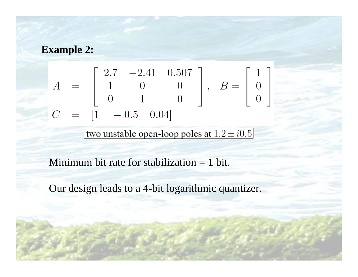#### **Example 2:**

$$
\begin{bmatrix}\nA = \begin{bmatrix}\n2.7 & -2.41 & 0.507 \\
1 & 0 & 0 \\
0 & 1 & 0\n\end{bmatrix}, \quad B = \begin{bmatrix}\n1 \\
0 \\
0\n\end{bmatrix}
$$
\n
$$
C = \begin{bmatrix}\n1 & -0.5 & 0.04\n\end{bmatrix}
$$

two unstable open-loop poles at  $1.2 \pm i0.5$ 

Minimum bit rate for stabilization = 1 bit.

Our design leads to a 4-bit logarithmic quantizer.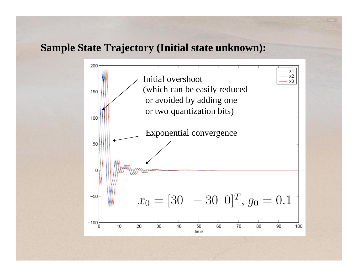#### **Sample State Trajectory (Initial state unknown):**

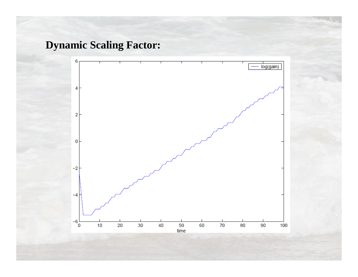### **Dynamic Scaling Factor:**

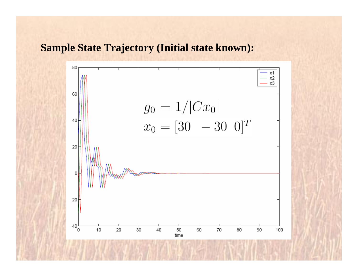#### **Sample State Trajectory (Initial state known):**

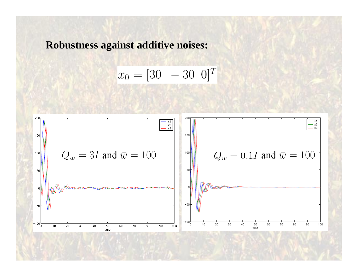**Robustness against additive noises:**

$$
x_0 = [30 - 30 0]^T
$$